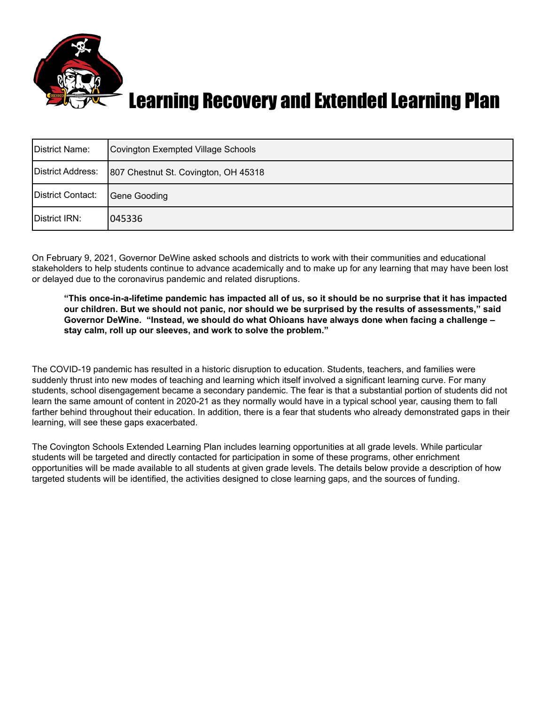

#### Learning Recovery and Extended Learning Plan

| District Name:    | Covington Exempted Village Schools   |
|-------------------|--------------------------------------|
| District Address: | 807 Chestnut St. Covington, OH 45318 |
| District Contact: | Gene Gooding                         |
| District IRN:     | 1045336                              |

On February 9, 2021, Governor DeWine asked schools and districts to work with their communities and educational stakeholders to help students continue to advance academically and to make up for any learning that may have been lost or delayed due to the coronavirus pandemic and related disruptions.

"This once-in-a-lifetime pandemic has impacted all of us, so it should be no surprise that it has impacted our children. But we should not panic, nor should we be surprised by the results of assessments," said **Governor DeWine. "Instead, we should do what Ohioans have always done when facing a challenge – stay calm, roll up our sleeves, and work to solve the problem."**

The COVID-19 pandemic has resulted in a historic disruption to education. Students, teachers, and families were suddenly thrust into new modes of teaching and learning which itself involved a significant learning curve. For many students, school disengagement became a secondary pandemic. The fear is that a substantial portion of students did not learn the same amount of content in 2020-21 as they normally would have in a typical school year, causing them to fall farther behind throughout their education. In addition, there is a fear that students who already demonstrated gaps in their learning, will see these gaps exacerbated.

The Covington Schools Extended Learning Plan includes learning opportunities at all grade levels. While particular students will be targeted and directly contacted for participation in some of these programs, other enrichment opportunities will be made available to all students at given grade levels. The details below provide a description of how targeted students will be identified, the activities designed to close learning gaps, and the sources of funding.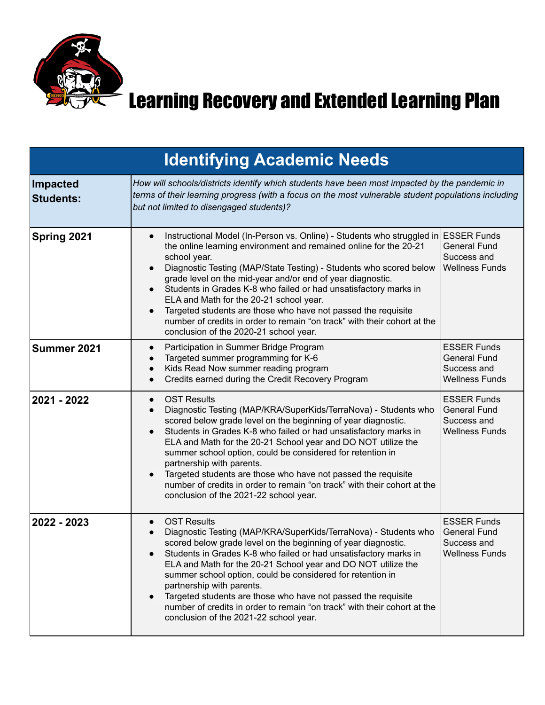

## $\boldsymbol{\Sigma}$  Learning Recovery and Extended Learning Plan

|                                     | <b>Identifying Academic Needs</b>                                                                                                                                                                                                                                                                                                                                                                                                                                                                                                                                                                                                                                     |                                                                                   |  |
|-------------------------------------|-----------------------------------------------------------------------------------------------------------------------------------------------------------------------------------------------------------------------------------------------------------------------------------------------------------------------------------------------------------------------------------------------------------------------------------------------------------------------------------------------------------------------------------------------------------------------------------------------------------------------------------------------------------------------|-----------------------------------------------------------------------------------|--|
| <b>Impacted</b><br><b>Students:</b> | How will schools/districts identify which students have been most impacted by the pandemic in<br>terms of their learning progress (with a focus on the most vulnerable student populations including<br>but not limited to disengaged students)?                                                                                                                                                                                                                                                                                                                                                                                                                      |                                                                                   |  |
| Spring 2021                         | Instructional Model (In-Person vs. Online) - Students who struggled in ESSER Funds<br>$\bullet$<br>the online learning environment and remained online for the 20-21<br>school year.<br>Diagnostic Testing (MAP/State Testing) - Students who scored below<br>$\bullet$<br>grade level on the mid-year and/or end of year diagnostic.<br>Students in Grades K-8 who failed or had unsatisfactory marks in<br>$\bullet$<br>ELA and Math for the 20-21 school year.<br>Targeted students are those who have not passed the requisite<br>$\bullet$<br>number of credits in order to remain "on track" with their cohort at the<br>conclusion of the 2020-21 school year. | <b>General Fund</b><br>Success and<br><b>Wellness Funds</b>                       |  |
| Summer 2021                         | Participation in Summer Bridge Program<br>$\bullet$<br>Targeted summer programming for K-6<br>$\bullet$<br>Kids Read Now summer reading program<br>$\bullet$<br>Credits earned during the Credit Recovery Program<br>$\bullet$                                                                                                                                                                                                                                                                                                                                                                                                                                        | <b>ESSER Funds</b><br><b>General Fund</b><br>Success and<br><b>Wellness Funds</b> |  |
| 2021 - 2022                         | <b>OST Results</b><br>$\bullet$<br>Diagnostic Testing (MAP/KRA/SuperKids/TerraNova) - Students who<br>$\bullet$<br>scored below grade level on the beginning of year diagnostic.<br>Students in Grades K-8 who failed or had unsatisfactory marks in<br>$\bullet$<br>ELA and Math for the 20-21 School year and DO NOT utilize the<br>summer school option, could be considered for retention in<br>partnership with parents.<br>Targeted students are those who have not passed the requisite<br>$\bullet$<br>number of credits in order to remain "on track" with their cohort at the<br>conclusion of the 2021-22 school year.                                     | <b>ESSER Funds</b><br><b>General Fund</b><br>Success and<br><b>Wellness Funds</b> |  |
| 2022 - 2023                         | <b>OST Results</b><br>$\bullet$<br>Diagnostic Testing (MAP/KRA/SuperKids/TerraNova) - Students who<br>scored below grade level on the beginning of year diagnostic.<br>Students in Grades K-8 who failed or had unsatisfactory marks in<br>$\bullet$<br>ELA and Math for the 20-21 School year and DO NOT utilize the<br>summer school option, could be considered for retention in<br>partnership with parents.<br>Targeted students are those who have not passed the requisite<br>$\bullet$<br>number of credits in order to remain "on track" with their cohort at the<br>conclusion of the 2021-22 school year.                                                  | <b>ESSER Funds</b><br><b>General Fund</b><br>Success and<br><b>Wellness Funds</b> |  |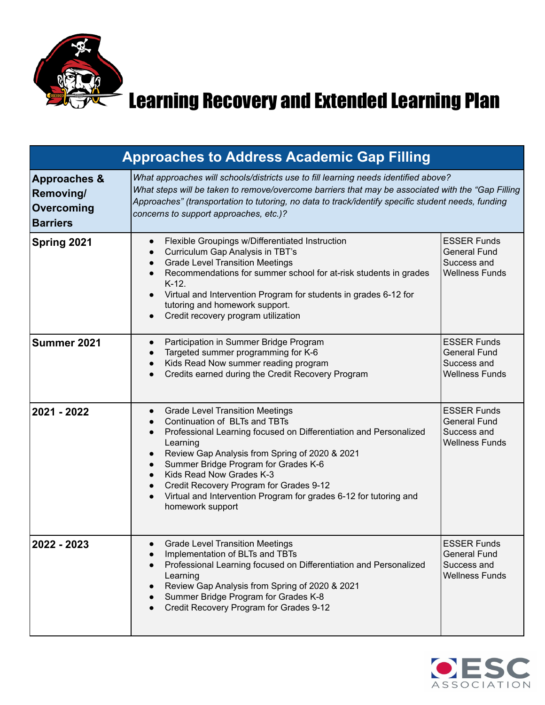

### $\geq$  Learning Recovery and Extended Learning Plan

| <b>Approaches to Address Academic Gap Filling</b>                     |                                                                                                                                                                                                                                                                                                                                                                                                                                                                                                               |                                                                                   |  |
|-----------------------------------------------------------------------|---------------------------------------------------------------------------------------------------------------------------------------------------------------------------------------------------------------------------------------------------------------------------------------------------------------------------------------------------------------------------------------------------------------------------------------------------------------------------------------------------------------|-----------------------------------------------------------------------------------|--|
| <b>Approaches &amp;</b><br>Removing/<br>Overcoming<br><b>Barriers</b> | What approaches will schools/districts use to fill learning needs identified above?<br>What steps will be taken to remove/overcome barriers that may be associated with the "Gap Filling<br>Approaches" (transportation to tutoring, no data to track/identify specific student needs, funding<br>concerns to support approaches, etc.)?                                                                                                                                                                      |                                                                                   |  |
| Spring 2021                                                           | Flexible Groupings w/Differentiated Instruction<br>$\bullet$<br>Curriculum Gap Analysis in TBT's<br>$\bullet$<br><b>Grade Level Transition Meetings</b><br>$\bullet$<br>Recommendations for summer school for at-risk students in grades<br>$\bullet$<br>$K-12.$<br>Virtual and Intervention Program for students in grades 6-12 for<br>$\bullet$<br>tutoring and homework support.<br>Credit recovery program utilization<br>$\bullet$                                                                       | <b>ESSER Funds</b><br><b>General Fund</b><br>Success and<br><b>Wellness Funds</b> |  |
| Summer 2021                                                           | Participation in Summer Bridge Program<br>$\bullet$<br>Targeted summer programming for K-6<br>$\bullet$<br>Kids Read Now summer reading program<br>$\bullet$<br>Credits earned during the Credit Recovery Program<br>$\bullet$                                                                                                                                                                                                                                                                                | <b>ESSER Funds</b><br><b>General Fund</b><br>Success and<br><b>Wellness Funds</b> |  |
| 2021 - 2022                                                           | <b>Grade Level Transition Meetings</b><br>$\bullet$<br>Continuation of BLTs and TBTs<br>Professional Learning focused on Differentiation and Personalized<br>$\bullet$<br>Learning<br>Review Gap Analysis from Spring of 2020 & 2021<br>$\bullet$<br>Summer Bridge Program for Grades K-6<br>$\bullet$<br>Kids Read Now Grades K-3<br>$\bullet$<br>Credit Recovery Program for Grades 9-12<br>$\bullet$<br>Virtual and Intervention Program for grades 6-12 for tutoring and<br>$\bullet$<br>homework support | <b>ESSER Funds</b><br><b>General Fund</b><br>Success and<br><b>Wellness Funds</b> |  |
| 2022 - 2023                                                           | <b>Grade Level Transition Meetings</b><br>Implementation of BLTs and TBTs<br>Professional Learning focused on Differentiation and Personalized<br>Learning<br>Review Gap Analysis from Spring of 2020 & 2021<br>Summer Bridge Program for Grades K-8<br>Credit Recovery Program for Grades 9-12                                                                                                                                                                                                               | <b>ESSER Funds</b><br><b>General Fund</b><br>Success and<br><b>Wellness Funds</b> |  |

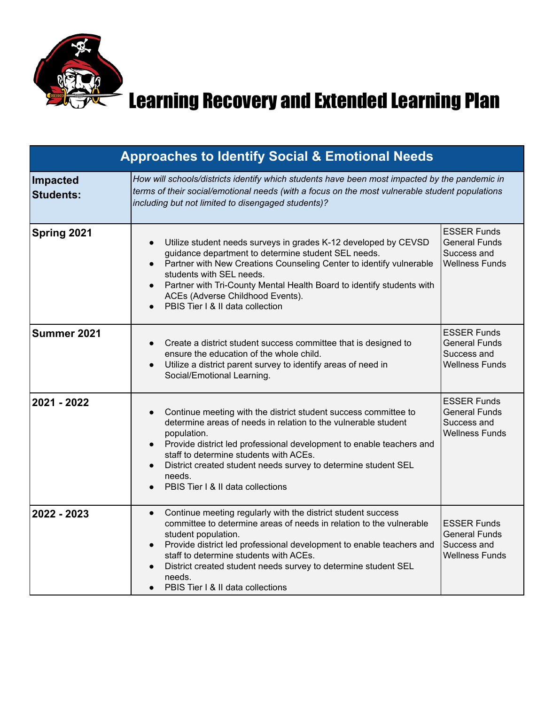

## $\boldsymbol{\Sigma}$  Learning Recovery and Extended Learning Plan

| <b>Approaches to Identify Social &amp; Emotional Needs</b> |                                                                                                                                                                                                                                                                                                                                                                                                                         |                                                                                    |  |
|------------------------------------------------------------|-------------------------------------------------------------------------------------------------------------------------------------------------------------------------------------------------------------------------------------------------------------------------------------------------------------------------------------------------------------------------------------------------------------------------|------------------------------------------------------------------------------------|--|
| Impacted<br><b>Students:</b>                               | How will schools/districts identify which students have been most impacted by the pandemic in<br>terms of their social/emotional needs (with a focus on the most vulnerable student populations<br>including but not limited to disengaged students)?                                                                                                                                                                   |                                                                                    |  |
| Spring 2021                                                | Utilize student needs surveys in grades K-12 developed by CEVSD<br>guidance department to determine student SEL needs.<br>Partner with New Creations Counseling Center to identify vulnerable<br>students with SEL needs.<br>Partner with Tri-County Mental Health Board to identify students with<br>$\bullet$<br>ACEs (Adverse Childhood Events).<br>PBIS Tier I & II data collection<br>$\bullet$                    | <b>ESSER Funds</b><br><b>General Funds</b><br>Success and<br><b>Wellness Funds</b> |  |
| Summer 2021                                                | Create a district student success committee that is designed to<br>ensure the education of the whole child.<br>Utilize a district parent survey to identify areas of need in<br>$\bullet$<br>Social/Emotional Learning.                                                                                                                                                                                                 | <b>ESSER Funds</b><br>General Funds<br>Success and<br><b>Wellness Funds</b>        |  |
| 2021 - 2022                                                | Continue meeting with the district student success committee to<br>$\bullet$<br>determine areas of needs in relation to the vulnerable student<br>population.<br>Provide district led professional development to enable teachers and<br>$\bullet$<br>staff to determine students with ACEs.<br>District created student needs survey to determine student SEL<br>needs.<br>PBIS Tier   & II data collections           | <b>ESSER Funds</b><br><b>General Funds</b><br>Success and<br><b>Wellness Funds</b> |  |
| 2022 - 2023                                                | Continue meeting regularly with the district student success<br>$\bullet$<br>committee to determine areas of needs in relation to the vulnerable<br>student population.<br>Provide district led professional development to enable teachers and<br>$\bullet$<br>staff to determine students with ACEs.<br>District created student needs survey to determine student SEL<br>needs.<br>PBIS Tier I & II data collections | <b>ESSER Funds</b><br><b>General Funds</b><br>Success and<br><b>Wellness Funds</b> |  |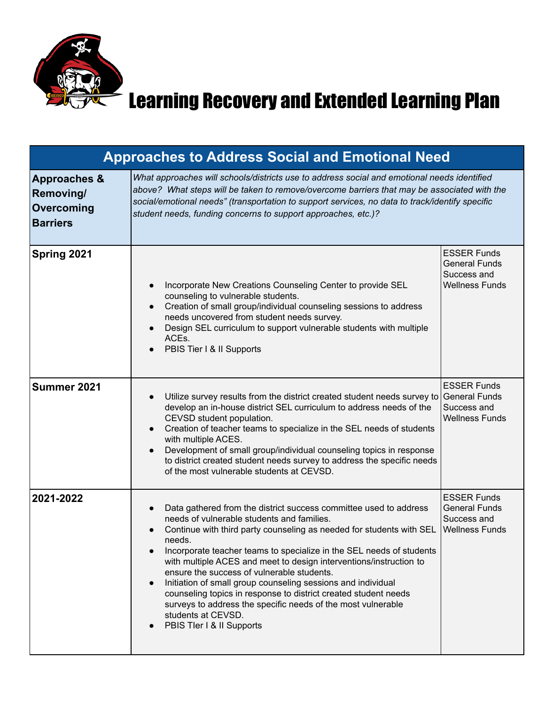

# Learning Recovery and Extended Learning Plan

| <b>Approaches to Address Social and Emotional Need</b>                       |                                                                                                                                                                                                                                                                                                                                                                                                                                                                                                                                                                                                                                                     |                                                                                    |  |
|------------------------------------------------------------------------------|-----------------------------------------------------------------------------------------------------------------------------------------------------------------------------------------------------------------------------------------------------------------------------------------------------------------------------------------------------------------------------------------------------------------------------------------------------------------------------------------------------------------------------------------------------------------------------------------------------------------------------------------------------|------------------------------------------------------------------------------------|--|
| <b>Approaches &amp;</b><br><b>Removing/</b><br>Overcoming<br><b>Barriers</b> | What approaches will schools/districts use to address social and emotional needs identified<br>above? What steps will be taken to remove/overcome barriers that may be associated with the<br>social/emotional needs" (transportation to support services, no data to track/identify specific<br>student needs, funding concerns to support approaches, etc.)?                                                                                                                                                                                                                                                                                      |                                                                                    |  |
| Spring 2021                                                                  | Incorporate New Creations Counseling Center to provide SEL<br>counseling to vulnerable students.<br>Creation of small group/individual counseling sessions to address<br>$\bullet$<br>needs uncovered from student needs survey.<br>Design SEL curriculum to support vulnerable students with multiple<br>ACE <sub>s</sub> .<br>PBIS Tier I & II Supports                                                                                                                                                                                                                                                                                           | <b>ESSER Funds</b><br><b>General Funds</b><br>Success and<br><b>Wellness Funds</b> |  |
| Summer 2021                                                                  | Utilize survey results from the district created student needs survey to General Funds<br>develop an in-house district SEL curriculum to address needs of the<br>CEVSD student population.<br>Creation of teacher teams to specialize in the SEL needs of students<br>with multiple ACES.<br>Development of small group/individual counseling topics in response<br>to district created student needs survey to address the specific needs<br>of the most vulnerable students at CEVSD.                                                                                                                                                             | <b>ESSER Funds</b><br>Success and<br><b>Wellness Funds</b>                         |  |
| 2021-2022                                                                    | Data gathered from the district success committee used to address<br>needs of vulnerable students and families.<br>Continue with third party counseling as needed for students with SEL<br>needs.<br>Incorporate teacher teams to specialize in the SEL needs of students<br>with multiple ACES and meet to design interventions/instruction to<br>ensure the success of vulnerable students.<br>Initiation of small group counseling sessions and individual<br>counseling topics in response to district created student needs<br>surveys to address the specific needs of the most vulnerable<br>students at CEVSD.<br>PBIS Tler I & II Supports | <b>ESSER Funds</b><br><b>General Funds</b><br>Success and<br><b>Wellness Funds</b> |  |